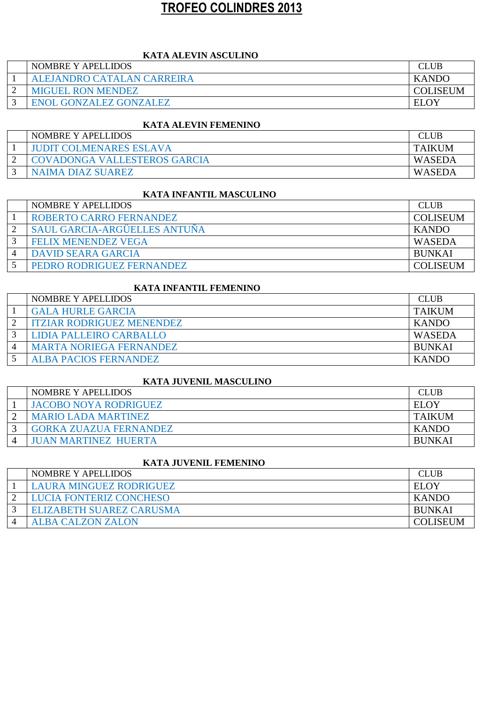# **TROFEO COLINDRES 2013**

## **KATA ALEVIN ASCULINO**

|   | <b>NOMBRE Y APELLIDOS</b>     |                 |
|---|-------------------------------|-----------------|
|   | ALEJANDRO CATALAN CARREIRA    | <b>KANDO</b>    |
| ◠ | <b>MIGUEL RON MENDEZ</b>      | <b>COLISEUM</b> |
|   | <b>ENOL GONZALEZ GONZALEZ</b> | <b>ELOY</b>     |

## **KATA ALEVIN FEMENINO**

| <b>NOMBRE Y APELLIDOS</b>           |               |
|-------------------------------------|---------------|
| <b>JUDIT COLMENARES ESLAVA</b>      | <b>TAIKUM</b> |
| <b>COVADONGA VALLESTEROS GARCIA</b> | WASEDA        |
| NAIMA DIAZ SUAREZ                   | WASEDA        |

#### **KATA INFANTIL MASCULINO**

| NOMBRE Y APELLIDOS                  | <b>CLUB</b>     |
|-------------------------------------|-----------------|
| ROBERTO CARRO FERNANDEZ             | <b>COLISEUM</b> |
| <b>SAUL GARCIA-ARGÜELLES ANTUÑA</b> | <b>KANDO</b>    |
| <b>FELIX MENENDEZ VEGA</b>          | WASEDA          |
| <b>DAVID SEARA GARCIA</b>           | <b>BUNKAI</b>   |
| PEDRO RODRIGUEZ FERNANDEZ           | <b>COLISEUM</b> |

#### **KATA INFANTIL FEMENINO**

| NOMBRE Y APELLIDOS               | <b>CLUB</b>   |
|----------------------------------|---------------|
| <b>GALA HURLE GARCIA</b>         | <b>TAIKUM</b> |
| <b>ITZIAR RODRIGUEZ MENENDEZ</b> | <b>KANDO</b>  |
| LIDIA PALLEIRO CARBALLO          | <b>WASEDA</b> |
| <b>MARTA NORIEGA FERNANDEZ</b>   | <b>BUNKAI</b> |
| <b>ALBA PACIOS FERNANDEZ</b>     | <b>KANDO</b>  |

# **KATA JUVENIL MASCULINO**

| NOMBRE Y APELLIDOS            | <b>CLUB</b>   |
|-------------------------------|---------------|
| <b>JACOBO NOYA RODRIGUEZ</b>  | ELOY          |
| <b>MARIO LADA MARTINEZ</b>    | <b>TAIKUM</b> |
| <b>GORKA ZUAZUA FERNANDEZ</b> | <b>KANDO</b>  |
| <b>JUAN MARTINEZ HUERTA</b>   | <b>BUNKAI</b> |

## **KATA JUVENIL FEMENINO**

| NOMBRE Y APELLIDOS              | <b>CLUB</b>     |
|---------------------------------|-----------------|
| <b>LAURA MINGUEZ RODRIGUEZ</b>  | <b>ELOY</b>     |
| LUCIA FONTERIZ CONCHESO         | <b>KANDO</b>    |
| <b>ELIZABETH SUAREZ CARUSMA</b> | <b>BUNKAI</b>   |
| <b>ALBA CALZON ZALON</b>        | <b>COLISEUM</b> |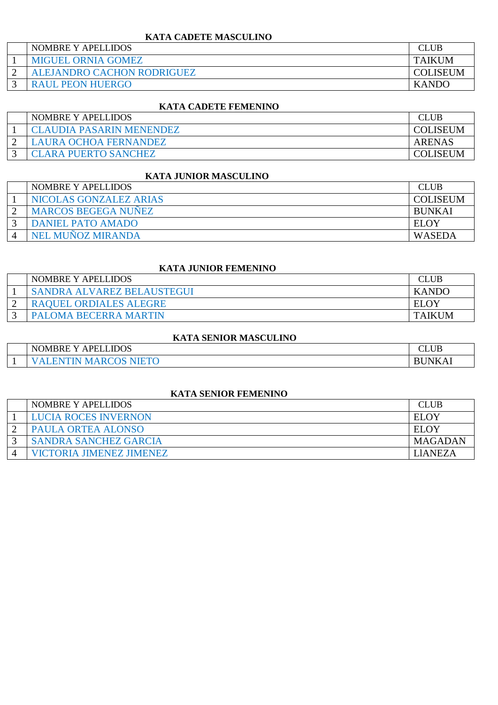## **KATA CADETE MASCULINO**

| <b>NOMBRE Y APELLIDOS</b>  | <b>CLUB</b>     |
|----------------------------|-----------------|
| <b>MIGUEL ORNIA GOMEZ</b>  | <b>TAIKUM</b>   |
| ALEJANDRO CACHON RODRIGUEZ | <b>COLISEUM</b> |
| <b>RAUL PEON HUERGO</b>    | <b>KANDO</b>    |

## **KATA CADETE FEMENINO**

| NOMBRE Y APELLIDOS          |                 |
|-----------------------------|-----------------|
| CLAUDIA PASARIN MENENDEZ    | <b>COLISEUM</b> |
| AURA OCHOA FERNANDEZ        | ARENAS          |
| <b>CLARA PUERTO SANCHEZ</b> | COLISEUM        |

# **KATA JUNIOR MASCULINO**

| NOMBRE Y APELLIDOS         | <b>CLUB</b>     |
|----------------------------|-----------------|
| NICOLAS GONZALEZ ARIAS     | <b>COLISEUM</b> |
| <b>MARCOS BEGEGA NUÑEZ</b> | <b>BUNKAI</b>   |
| <b>DANIEL PATO AMADO</b>   | EL OY           |
| NEL MUÑOZ MIRANDA          | WASEDA          |

#### **KATA JUNIOR FEMENINO**

| <b>NOMBRE Y APELLIDOS</b>     | $\cap$ T     |
|-------------------------------|--------------|
| SANDRA ALVAREZ BELAUSTEGUI    | <b>KANDO</b> |
| <b>RAQUEL ORDIALES ALEGRE</b> | <b>ELOY</b>  |
| PALOMA BECERRA MARTIN         | TAIKUM       |

## **KATA SENIOR MASCULINO**

|          | PELLIDOS<br>$T \cap T$<br><b>NOMBRE</b><br>- | $\sim$<br>$\overline{\phantom{a}}$<br>∠L∪D |
|----------|----------------------------------------------|--------------------------------------------|
| <b>.</b> | 71 IN                                        | INK<br>M                                   |

#### **KATA SENIOR FEMENINO**

| NOMBRE Y APELLIDOS              | <b>CLUB</b> |
|---------------------------------|-------------|
| LUCIA ROCES INVERNON            | ELOY        |
| PAULA ORTEA ALONSO              | EL OY       |
| <b>SANDRA SANCHEZ GARCIA</b>    | MAGADAN     |
| <b>VICTORIA JIMENEZ JIMENEZ</b> | LIANEZA     |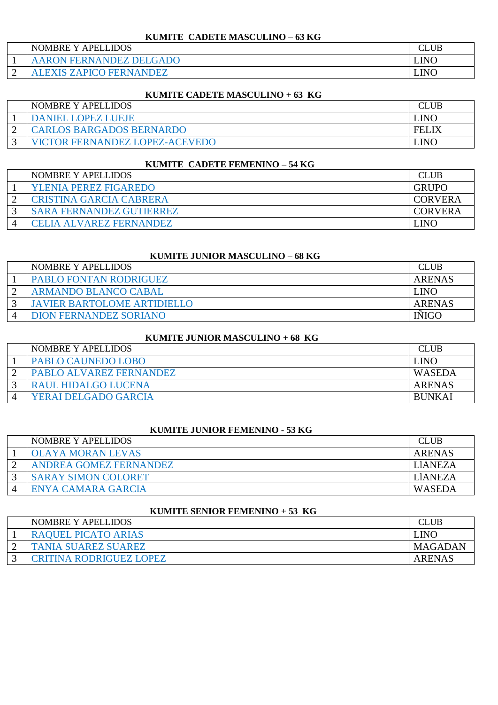## **KUMITE CADETE MASCULINO – 63 KG**

| NOMBRE Y<br>Y APELLIDOS | CLUB        |
|-------------------------|-------------|
| AARON FERNANDEZ DELGADO | <b>LINO</b> |
| <b>ZAPICO FERNANDEZ</b> | LINO        |

#### **KUMITE CADETE MASCULINO + 63 KG**

| NOMBRE Y APELLIDOS                    |              |
|---------------------------------------|--------------|
| <b>DANIEL LOPEZ LUEJE</b>             | LINO         |
| <b>CARLOS BARGADOS BERNARDO</b>       | <b>FELIX</b> |
| <b>VICTOR FERNANDEZ LOPEZ-ACEVEDO</b> | _INO         |

#### **KUMITE CADETE FEMENINO – 54 KG**

| NOMBRE Y APELLIDOS              | CLUB           |
|---------------------------------|----------------|
| <b>YLENIA PEREZ FIGAREDO</b>    | <b>GRUPO</b>   |
| CRISTINA GARCIA CABRERA         | <b>CORVERA</b> |
| <b>SARA FERNANDEZ GUTIERREZ</b> | <b>CORVERA</b> |
| CELIA ALVAREZ FERNANDEZ         | JNO            |

# **KUMITE JUNIOR MASCULINO – 68 KG**

| NOMBRE Y APELLIDOS                 | <b>CLUB</b> |
|------------------------------------|-------------|
| <b>PABLO FONTAN RODRIGUEZ</b>      | ARENAS      |
| ARMANDO BLANCO CABAL               | ' INO       |
| <b>JAVIER BARTOLOME ARTIDIELLO</b> | ARENAS      |
| <b>DION FERNANDEZ SORIANO</b>      | INIGC       |

## **KUMITE JUNIOR MASCULINO + 68 KG**

| NOMBRE Y APELLIDOS         | <b>CLUB</b>   |
|----------------------------|---------------|
| PABLO CAUNEDO LOBO         | LINO          |
| PABLO ALVAREZ FERNANDEZ    | WASEDA        |
| <b>RAUL HIDALGO LUCENA</b> | ARENAS        |
| YERAI DELGADO GARCIA       | <b>BUNKAI</b> |

#### **KUMITE JUNIOR FEMENINO - 53 KG**

| NOMBRE Y APELLIDOS         | <b>CLUB</b>    |
|----------------------------|----------------|
| <b>OLAYA MORAN LEVAS</b>   | ARENAS         |
| ANDREA GOMEZ FERNANDEZ     | <b>LIANEZA</b> |
| <b>SARAY SIMON COLORET</b> | <b>LIANEZA</b> |
| ENYA CAMARA GARCIA         | WASEDA         |

#### **KUMITE SENIOR FEMENINO + 53 KG**

| NOMBRE Y APELLIDOS         |               |
|----------------------------|---------------|
| <b>RAQUEL PICATO ARIAS</b> | LINC          |
| <b>TANIA SUAREZ SUAREZ</b> | MAGADAN       |
| CRITINA RODRIGUEZ LOPEZ    | <b>ARENAS</b> |